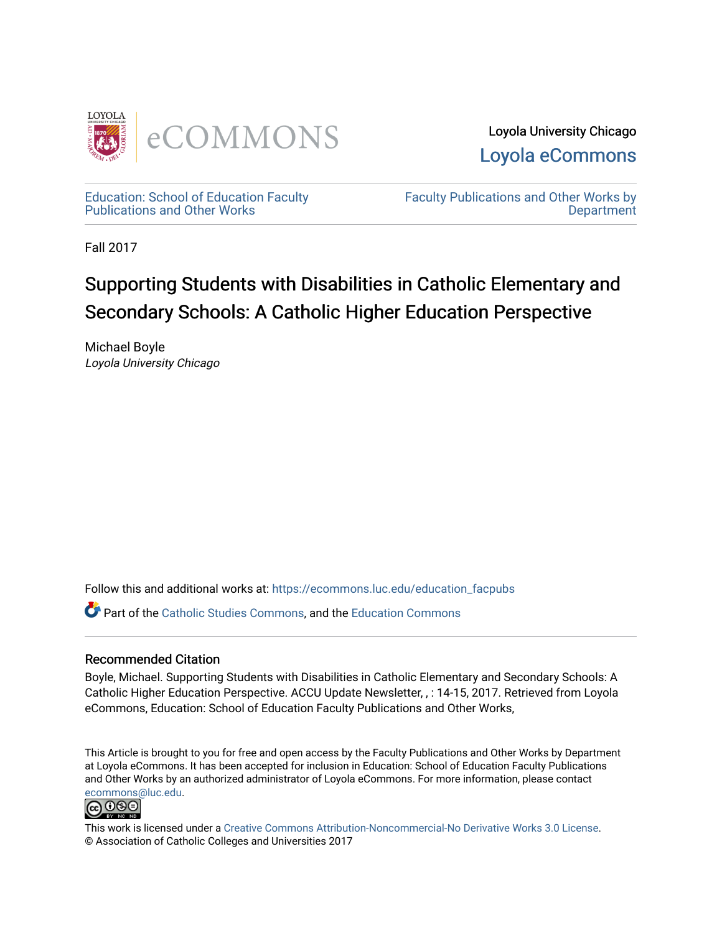

Loyola University Chicago [Loyola eCommons](https://ecommons.luc.edu/) 

[Education: School of Education Faculty](https://ecommons.luc.edu/education_facpubs)  [Publications and Other Works](https://ecommons.luc.edu/education_facpubs) 

[Faculty Publications and Other Works by](https://ecommons.luc.edu/faculty)  **Department** 

Fall 2017

## Supporting Students with Disabilities in Catholic Elementary and Secondary Schools: A Catholic Higher Education Perspective

Michael Boyle Loyola University Chicago

Follow this and additional works at: [https://ecommons.luc.edu/education\\_facpubs](https://ecommons.luc.edu/education_facpubs?utm_source=ecommons.luc.edu%2Feducation_facpubs%2F113&utm_medium=PDF&utm_campaign=PDFCoverPages) 

Part of the [Catholic Studies Commons](http://network.bepress.com/hgg/discipline/1294?utm_source=ecommons.luc.edu%2Feducation_facpubs%2F113&utm_medium=PDF&utm_campaign=PDFCoverPages), and the [Education Commons](http://network.bepress.com/hgg/discipline/784?utm_source=ecommons.luc.edu%2Feducation_facpubs%2F113&utm_medium=PDF&utm_campaign=PDFCoverPages) 

#### Recommended Citation

Boyle, Michael. Supporting Students with Disabilities in Catholic Elementary and Secondary Schools: A Catholic Higher Education Perspective. ACCU Update Newsletter, , : 14-15, 2017. Retrieved from Loyola eCommons, Education: School of Education Faculty Publications and Other Works,

This Article is brought to you for free and open access by the Faculty Publications and Other Works by Department at Loyola eCommons. It has been accepted for inclusion in Education: School of Education Faculty Publications and Other Works by an authorized administrator of Loyola eCommons. For more information, please contact [ecommons@luc.edu](mailto:ecommons@luc.edu).



This work is licensed under a [Creative Commons Attribution-Noncommercial-No Derivative Works 3.0 License.](https://creativecommons.org/licenses/by-nc-nd/3.0/) © Association of Catholic Colleges and Universities 2017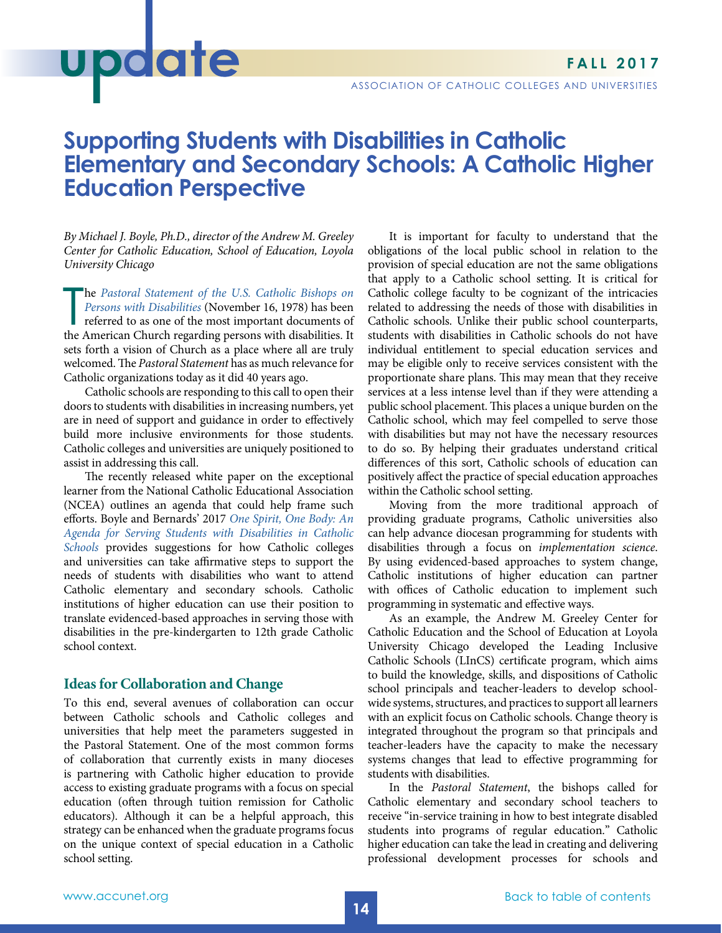# polate

## **Supporting Students with Disabilities in Catholic Elementary and Secondary Schools: A Catholic Higher Education Perspective**

*By Michael J. Boyle, Ph.D., director of the Andrew M. Greeley Center for Catholic Education, School of Education, Loyola University Chicago*

The Pastoral Statement of the U.S. Catholic Bishops on Persons with Disabilities (November 16, 1978) has been referred to as one of the most important documents of the American Church regarding persons with disabilities. I he *[Pastoral Statement of the U.S. Catholic Bishops on](https://www.ncpd.org/views-news-policy/policy/church/bishops/pastoral)  [Persons with Disabilities](https://www.ncpd.org/views-news-policy/policy/church/bishops/pastoral)* (November 16, 1978) has been referred to as one of the most important documents of sets forth a vision of Church as a place where all are truly welcomed. The *Pastoral Statement* has as much relevance for Catholic organizations today as it did 40 years ago.

Catholic schools are responding to this call to open their doors to students with disabilities in increasing numbers, yet are in need of support and guidance in order to effectively build more inclusive environments for those students. Catholic colleges and universities are uniquely positioned to assist in addressing this call.

The recently released white paper on the exceptional learner from the National Catholic Educational Association (NCEA) outlines an agenda that could help frame such efforts. Boyle and Bernards' 2017 *[One Spirit, One Body: An](http://nceatalk.org/wp-content/uploads/2017/05/17-NCEA_EL-White-Papers_FINAL.pdf) [Agenda for Serving Students with Disabilities in Catholic](http://nceatalk.org/wp-content/uploads/2017/05/17-NCEA_EL-White-Papers_FINAL.pdf) [Schools](http://nceatalk.org/wp-content/uploads/2017/05/17-NCEA_EL-White-Papers_FINAL.pdf)* provides suggestions for how Catholic colleges and universities can take affirmative steps to support the needs of students with disabilities who want to attend Catholic elementary and secondary schools. Catholic institutions of higher education can use their position to translate evidenced-based approaches in serving those with disabilities in the pre-kindergarten to 12th grade Catholic school context.

#### **Ideas for Collaboration and Change**

To this end, several avenues of collaboration can occur between Catholic schools and Catholic colleges and universities that help meet the parameters suggested in the Pastoral Statement. One of the most common forms of collaboration that currently exists in many dioceses is partnering with Catholic higher education to provide access to existing graduate programs with a focus on special education (often through tuition remission for Catholic educators). Although it can be a helpful approach, this strategy can be enhanced when the graduate programs focus on the unique context of special education in a Catholic school setting.

It is important for faculty to understand that the obligations of the local public school in relation to the provision of special education are not the same obligations that apply to a Catholic school setting. It is critical for Catholic college faculty to be cognizant of the intricacies related to addressing the needs of those with disabilities in Catholic schools. Unlike their public school counterparts, students with disabilities in Catholic schools do not have individual entitlement to special education services and may be eligible only to receive services consistent with the proportionate share plans. This may mean that they receive services at a less intense level than if they were attending a public school placement. This places a unique burden on the Catholic school, which may feel compelled to serve those with disabilities but may not have the necessary resources to do so. By helping their graduates understand critical differences of this sort, Catholic schools of education can positively affect the practice of special education approaches within the Catholic school setting.

Moving from the more traditional approach of providing graduate programs, Catholic universities also can help advance diocesan programming for students with disabilities through a focus on *implementation science*. By using evidenced-based approaches to system change, Catholic institutions of higher education can partner with offices of Catholic education to implement such programming in systematic and effective ways.

As an example, the Andrew M. Greeley Center for Catholic Education and the School of Education at Loyola University Chicago developed the Leading Inclusive Catholic Schools (LInCS) certificate program, which aims to build the knowledge, skills, and dispositions of Catholic school principals and teacher-leaders to develop schoolwide systems, structures, and practices to support all learners with an explicit focus on Catholic schools. Change theory is integrated throughout the program so that principals and teacher-leaders have the capacity to make the necessary systems changes that lead to effective programming for students with disabilities.

In the *Pastoral Statement*, the bishops called for Catholic elementary and secondary school teachers to receive "in-service training in how to best integrate disabled students into programs of regular education." Catholic higher education can take the lead in creating and delivering professional development processes for schools and